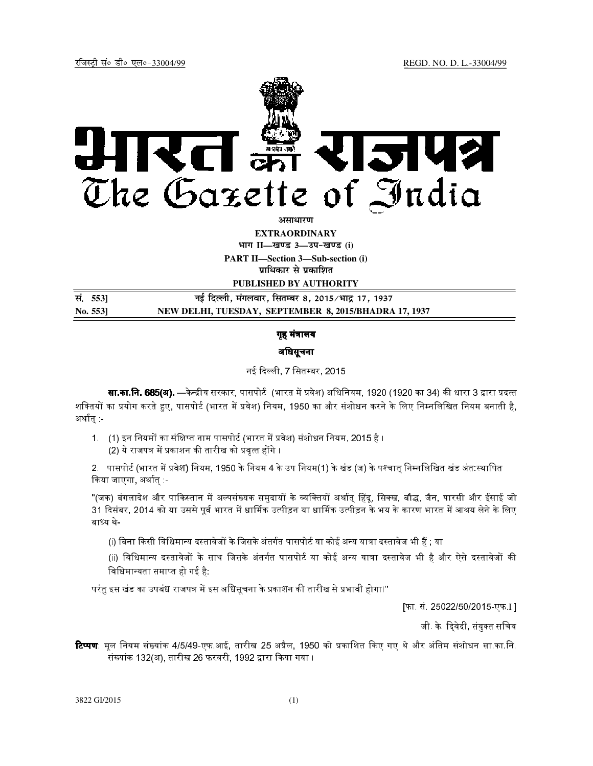

**EXTRAORDINARY**

**Hkkx II—[k.M 3—mi&[k.M (i)**

**PART II—Section 3—Sub-section (i) प्राधिकार से प्रकाशित** 

**PUBLISHED BY AUTHORITY**

| सं. 5531      | नई दिल्ली, मंगलवार, सितम्बर 8, 2015∕भाद्र 17, 1937    |
|---------------|-------------------------------------------------------|
| $\rm No. 553$ | NEW DELHI, TUESDAY, SEPTEMBER 8, 2015/BHADRA 17, 1937 |

# गृह मंत्रालय

# अधिसूचना

# नई दली, 7 िसतबर, 2015

सा.का.नि. 685(अ). —केन्द्रीय सरकार, पासपोर्ट (भारत में प्रवेश) अधिनियम, 1920 (1920 का 34) की धारा 3 द्वारा प्रदत्त शक्तियों का प्रयोग करते हुए, पासपोर्ट (भारत में प्रवेश) नियम, 1950 का और संशोधन करने के लिए निम्नलिखित नियम बनाती है, अर्थात :-

1. (1) इन नियमों का संक्षिप्त नाम पासपोर्ट (भारत में प्रवेश) संशोधन नियम, 2015 है ।

(2) ये राजपत्र में प्रकाशन की तारीख को प्रवृत्त होंगे ।

2. पासपोर्ट (भारत में प्रवेश) नियम, 1950 के नियम 4 के उप नियम(1) के खंड (ज) के पश्चात् निम्नलिखित खंड अंत:स्थापित कया जाएगा, अथात् :-

''(जक) बंगलादेश और पाकिस्तान में अल्पसंख्यक समुदायों के व्यक्तियों अर्थात् हिंदू, सिक्ख, बौद्ध, जैन, पारसी और ईसाई जो 31 दिसंबर, 2014 को या उससे पूर्व भारत में धार्मिक उत्पीड़न या धार्मिक उत्पीड़न के भय के कारण भारत में आश्रय लेने के लिए बाध्य थे-

(i) बिना किसी विधिमान्य दस्तावेजों के जिसके अंतर्गत पासपोर्ट या कोई अन्य यात्रा दस्तावेज भी हैं ; या

(ii) विधिमान्य दस्तावेजों के साथ जिसके अंतर्गत पासपोर्ट या कोई अन्य यात्रा दस्तावेज भी है और ऐसे दस्तावेजों की विधिमान्यता समाप्त हो गई है:

परंतु इस खंड का उपबंध राजपत्र में इस अधिसूचना के प्रकाशन की तारीख से प्रभावी होगा।''

[फा. सं. 25022/50/2015-एफ.I ]

जी. के. दि्वेदी, संयुक्त सचिव

**टिप्पण**: मूल नियम संख्यांक 4/5/49-एफ.आई, तारीख 25 अप्रैल, 1950 को प्रकाशित किए गए थे और अंतिम संशोधन सा.का.नि. संख्यांक 132(अ), तारीख 26 फरवरी, 1992 द्वारा किया गया ।

3822 GI/2015 (1)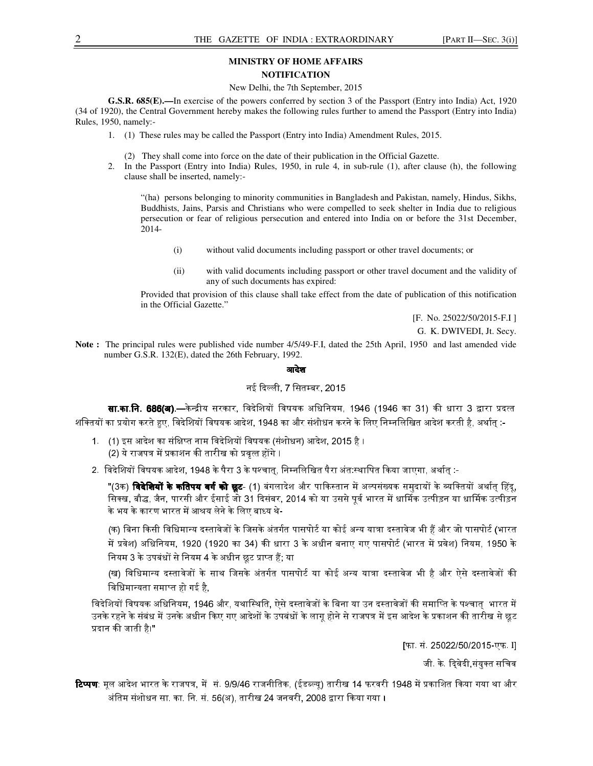### **MINISTRY OF HOME AFFAIRS NOTIFICATION**

#### New Delhi, the 7th September, 2015

**G.S.R. 685(E).—**In exercise of the powers conferred by section 3 of the Passport (Entry into India) Act, 1920 (34 of 1920), the Central Government hereby makes the following rules further to amend the Passport (Entry into India) Rules, 1950, namely:-

- 1. (1) These rules may be called the Passport (Entry into India) Amendment Rules, 2015.
	- (2) They shall come into force on the date of their publication in the Official Gazette.
- 2. In the Passport (Entry into India) Rules, 1950, in rule 4, in sub-rule (1), after clause (h), the following clause shall be inserted, namely:-

"(ha) persons belonging to minority communities in Bangladesh and Pakistan, namely, Hindus, Sikhs, Buddhists, Jains, Parsis and Christians who were compelled to seek shelter in India due to religious persecution or fear of religious persecution and entered into India on or before the 31st December, 2014-

- (i) without valid documents including passport or other travel documents; or
- (ii) with valid documents including passport or other travel document and the validity of any of such documents has expired:

Provided that provision of this clause shall take effect from the date of publication of this notification in the Official Gazette."

[F. No. 25022/50/2015-F.I]

G. K. DWIVEDI, Jt. Secy.

**Note :** The principal rules were published vide number 4/5/49-F.I, dated the 25th April, 1950 and last amended vide number G.S.R. 132(E), dated the 26th February, 1992.

### आदेश

### नई दली, 7 िसतबर, 2015

<mark>सा.का.नि. 686(अ).—</mark>केन्द्रीय सरकार, विदेशियों विषयक अधिनियम, 1946 (1946 का 31) की धारा 3 द्वारा प्रदत्त शक्तियों का प्रयोग करते हुए, विदेशियों विषयक आदेश, 1948 का और संशोधन करने के लिए निम्नलिखित आदेश करती है, अर्थात् :-

- 1. (1) इस आदेश का संक्षिप्त नाम विदेशियों विषयक (संशोधन) आदेश, 2015 है । (2) ये राजपत्र में प्रकाशन की तारीख को प्रवृत्त होंगे ।
- 2. विदेशियों विषयक आदेश, 1948 के पैरा 3 के पश्चात, निम्नलिखित पैरा अंत:स्थापित किया जाएगा, अर्थात :-

"(3क) **विदेशियों के कतिपय वर्ग को छूट-** (1) बंगलादेश और पाकिस्तान में अल्पसंख्यक समुदायों के व्यक्तियों अर्थात् हिंदू, सिक्ख, बौद्ध, जैन, पारसी और ईसाई जो 31 दिसंबर, 2014 को या उससे पूर्व भारत में धार्मिक उत्पीड़न या धार्मिक उत्पीड़न के भय के कारण भारत में आश्रय लेने के लिए बाध्य थे**-**

(क) बिना किसी विधिमान्य दस्तावेजों के जिसके अंतर्गत पासपोर्ट या कोई अन्य यात्रा दस्तावेज भी हैं और जो पासपोर्ट (भारत में प्रवेश) अधिनियम, 1920 (1920 का 34) की धारा 3 के अधीन बनाए गए पासपोर्ट (भारत में प्रवेश) नियम, 1950 के नियम 3 के उपबंधों से नियम 4 के अधीन छूट प्राप्त हैं; या

(ख) विधिमान्य दस्तावेजों के साथ जिसके अंतर्गत पासपोर्ट या कोई अन्य यात्रा दस्तावेज भी है और ऐसे दस्तावेजों की विधिमान्यता समाप्त हो गई है,

विदेशियों विषयक अधिनियम, 1946 और, यथास्थिति, ऐसे दस्तावेजों के बिना या उन दस्तावेजों की समाप्ति के पश्चात्र भारत में उनके रहने के संबंध में उनके अधीन किए गए आदेशों के उपबंधों के लागू होने से राजपत्र में इस आदेश के प्रकाशन की तारीख से छूट प्रदान की जाती है।"

[फा. सं. 25022/50/2015-एफ. I]

जी के. दिवेदी संयुक्त सचिव

**टिप्पण**: मूल आदेश भारत के राजपत्र, में सं. 9/9/46 राजनीतिक, (ईडब्ल्यू) तारीख 14 फरवरी 1948 में प्रकाशित किया गया था और अंतिम संशोधन सा. का. नि. सं. 56(अ), तारीख 24 जनवरी, 2008 द्वारा किया गया ।